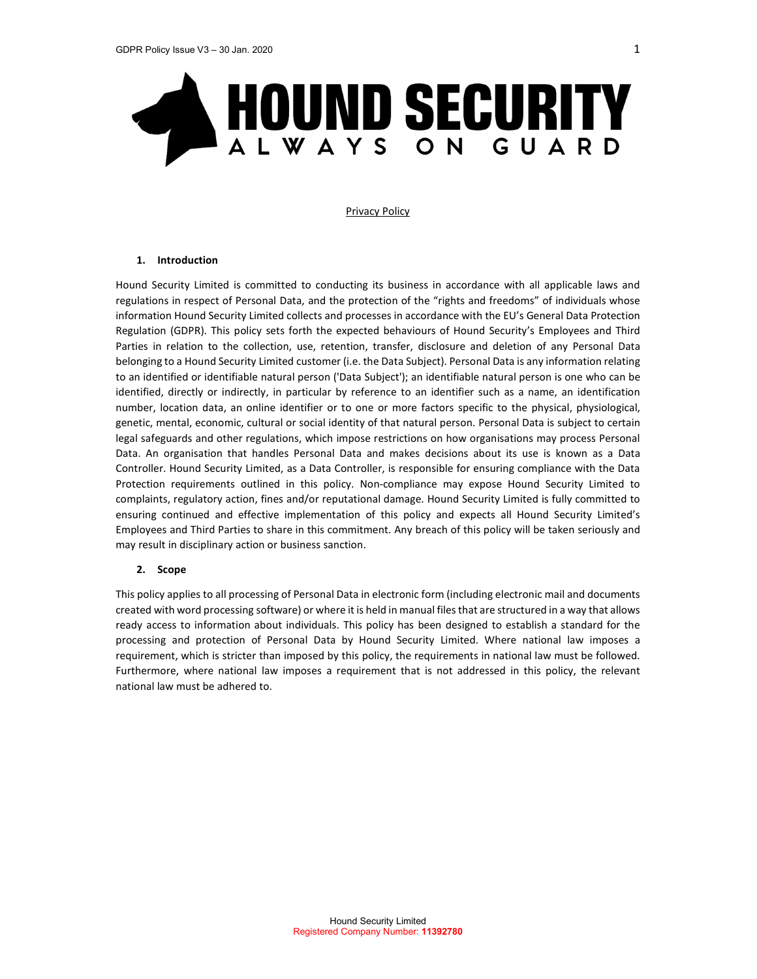

#### Privacy Policy

#### 1. Introduction

Hound Security Limited is committed to conducting its business in accordance with all applicable laws and regulations in respect of Personal Data, and the protection of the "rights and freedoms" of individuals whose information Hound Security Limited collects and processes in accordance with the EU's General Data Protection Regulation (GDPR). This policy sets forth the expected behaviours of Hound Security's Employees and Third Parties in relation to the collection, use, retention, transfer, disclosure and deletion of any Personal Data belonging to a Hound Security Limited customer (i.e. the Data Subject). Personal Data is any information relating to an identified or identifiable natural person ('Data Subject'); an identifiable natural person is one who can be identified, directly or indirectly, in particular by reference to an identifier such as a name, an identification number, location data, an online identifier or to one or more factors specific to the physical, physiological, genetic, mental, economic, cultural or social identity of that natural person. Personal Data is subject to certain legal safeguards and other regulations, which impose restrictions on how organisations may process Personal Data. An organisation that handles Personal Data and makes decisions about its use is known as a Data Controller. Hound Security Limited, as a Data Controller, is responsible for ensuring compliance with the Data Protection requirements outlined in this policy. Non-compliance may expose Hound Security Limited to complaints, regulatory action, fines and/or reputational damage. Hound Security Limited is fully committed to ensuring continued and effective implementation of this policy and expects all Hound Security Limited's Employees and Third Parties to share in this commitment. Any breach of this policy will be taken seriously and may result in disciplinary action or business sanction.

# 2. Scope

This policy applies to all processing of Personal Data in electronic form (including electronic mail and documents created with word processing software) or where it is held in manual files that are structured in a way that allows ready access to information about individuals. This policy has been designed to establish a standard for the processing and protection of Personal Data by Hound Security Limited. Where national law imposes a requirement, which is stricter than imposed by this policy, the requirements in national law must be followed. Furthermore, where national law imposes a requirement that is not addressed in this policy, the relevant national law must be adhered to.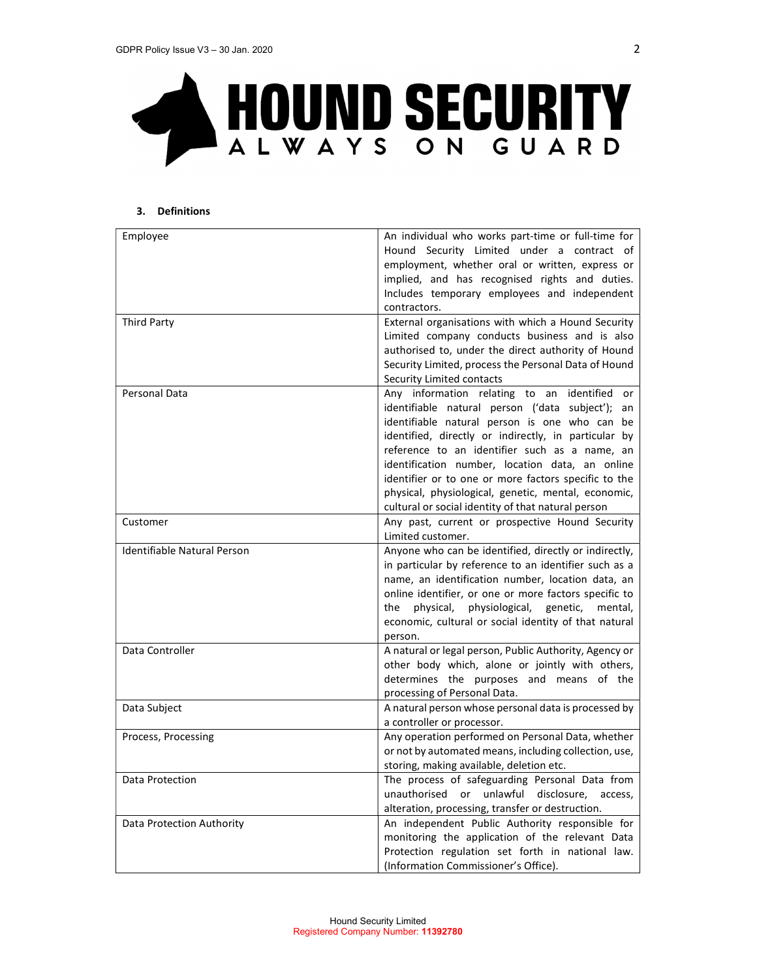

# 3. Definitions

| Employee                    | An individual who works part-time or full-time for     |
|-----------------------------|--------------------------------------------------------|
|                             | Hound Security Limited under a contract of             |
|                             | employment, whether oral or written, express or        |
|                             | implied, and has recognised rights and duties.         |
|                             | Includes temporary employees and independent           |
|                             | contractors.                                           |
| <b>Third Party</b>          | External organisations with which a Hound Security     |
|                             | Limited company conducts business and is also          |
|                             | authorised to, under the direct authority of Hound     |
|                             | Security Limited, process the Personal Data of Hound   |
|                             | Security Limited contacts                              |
|                             |                                                        |
| Personal Data               | Any information relating to an identified or           |
|                             | identifiable natural person ('data subject'); an       |
|                             | identifiable natural person is one who can be          |
|                             | identified, directly or indirectly, in particular by   |
|                             | reference to an identifier such as a name, an          |
|                             | identification number, location data, an online        |
|                             | identifier or to one or more factors specific to the   |
|                             | physical, physiological, genetic, mental, economic,    |
|                             | cultural or social identity of that natural person     |
| Customer                    | Any past, current or prospective Hound Security        |
|                             | Limited customer.                                      |
| Identifiable Natural Person | Anyone who can be identified, directly or indirectly,  |
|                             | in particular by reference to an identifier such as a  |
|                             | name, an identification number, location data, an      |
|                             | online identifier, or one or more factors specific to  |
|                             | physical,<br>physiological, genetic, mental,<br>the    |
|                             | economic, cultural or social identity of that natural  |
|                             | person.                                                |
| Data Controller             | A natural or legal person, Public Authority, Agency or |
|                             | other body which, alone or jointly with others,        |
|                             | determines the purposes and means of the               |
|                             | processing of Personal Data.                           |
| Data Subject                | A natural person whose personal data is processed by   |
|                             | a controller or processor.                             |
| Process, Processing         | Any operation performed on Personal Data, whether      |
|                             | or not by automated means, including collection, use,  |
|                             | storing, making available, deletion etc.               |
| Data Protection             |                                                        |
|                             | The process of safeguarding Personal Data from         |
|                             | unauthorised or unlawful disclosure, access,           |
|                             | alteration, processing, transfer or destruction.       |
| Data Protection Authority   | An independent Public Authority responsible for        |
|                             | monitoring the application of the relevant Data        |
|                             | Protection regulation set forth in national law.       |
|                             | (Information Commissioner's Office).                   |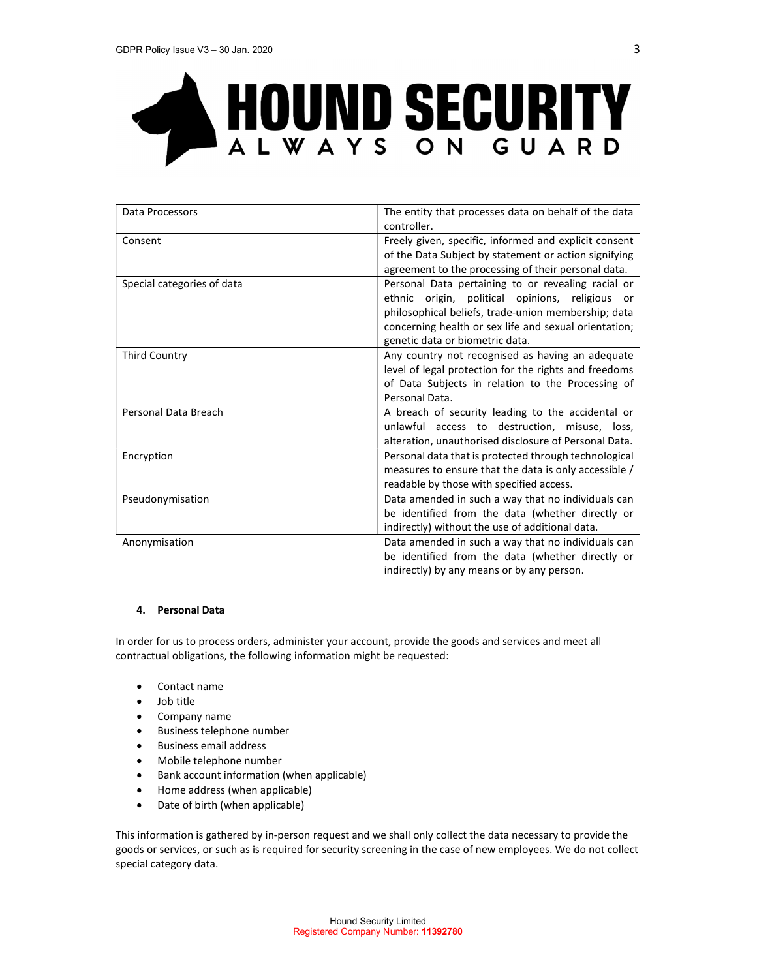

| Data Processors            | The entity that processes data on behalf of the data<br>controller.                                    |  |
|----------------------------|--------------------------------------------------------------------------------------------------------|--|
| Consent                    | Freely given, specific, informed and explicit consent                                                  |  |
|                            | of the Data Subject by statement or action signifying                                                  |  |
|                            | agreement to the processing of their personal data.                                                    |  |
| Special categories of data | Personal Data pertaining to or revealing racial or                                                     |  |
|                            | ethnic origin, political opinions, religious or                                                        |  |
|                            | philosophical beliefs, trade-union membership; data                                                    |  |
|                            | concerning health or sex life and sexual orientation;                                                  |  |
|                            | genetic data or biometric data.                                                                        |  |
| <b>Third Country</b>       | Any country not recognised as having an adequate                                                       |  |
|                            | level of legal protection for the rights and freedoms                                                  |  |
|                            | of Data Subjects in relation to the Processing of                                                      |  |
|                            | Personal Data.                                                                                         |  |
| Personal Data Breach       | A breach of security leading to the accidental or                                                      |  |
|                            | unlawful access to destruction, misuse, loss,                                                          |  |
|                            | alteration, unauthorised disclosure of Personal Data.                                                  |  |
| Encryption                 | Personal data that is protected through technological                                                  |  |
|                            | measures to ensure that the data is only accessible /                                                  |  |
|                            | readable by those with specified access.                                                               |  |
| Pseudonymisation           | Data amended in such a way that no individuals can                                                     |  |
|                            | be identified from the data (whether directly or                                                       |  |
|                            | indirectly) without the use of additional data.                                                        |  |
| Anonymisation              | Data amended in such a way that no individuals can<br>be identified from the data (whether directly or |  |
|                            |                                                                                                        |  |
|                            | indirectly) by any means or by any person.                                                             |  |

# 4. Personal Data

In order for us to process orders, administer your account, provide the goods and services and meet all contractual obligations, the following information might be requested:

- Contact name
- Job title
- Company name
- Business telephone number
- Business email address
- Mobile telephone number
- Bank account information (when applicable)
- Home address (when applicable)
- Date of birth (when applicable)

This information is gathered by in-person request and we shall only collect the data necessary to provide the goods or services, or such as is required for security screening in the case of new employees. We do not collect special category data.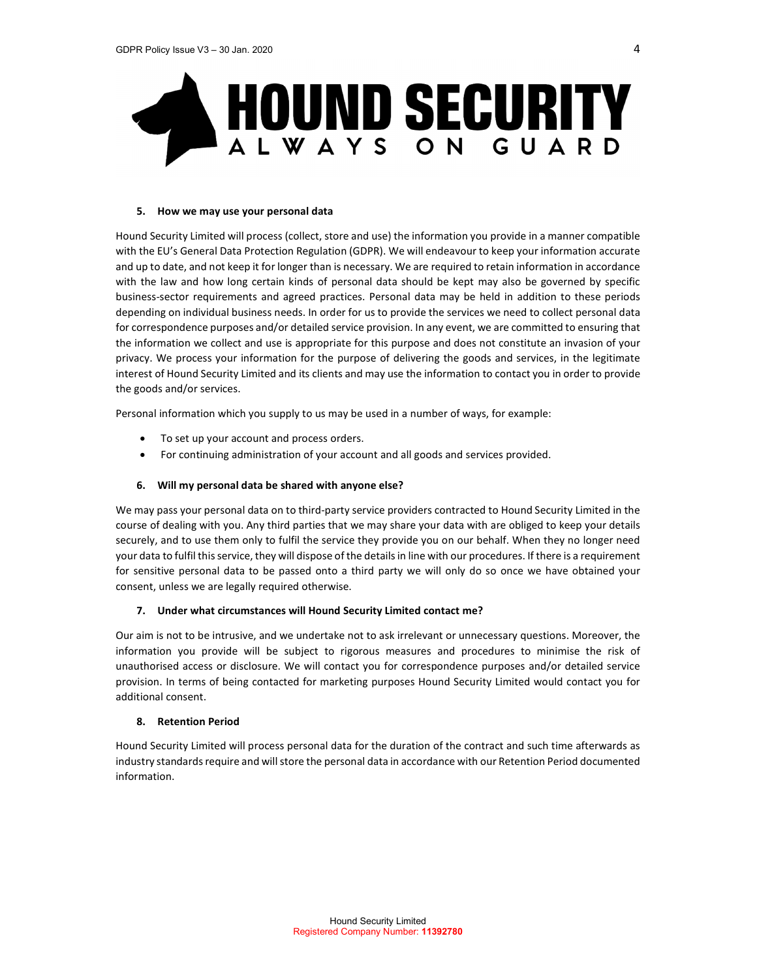

# 5. How we may use your personal data

Hound Security Limited will process (collect, store and use) the information you provide in a manner compatible with the EU's General Data Protection Regulation (GDPR). We will endeavour to keep your information accurate and up to date, and not keep it for longer than is necessary. We are required to retain information in accordance with the law and how long certain kinds of personal data should be kept may also be governed by specific business-sector requirements and agreed practices. Personal data may be held in addition to these periods depending on individual business needs. In order for us to provide the services we need to collect personal data for correspondence purposes and/or detailed service provision. In any event, we are committed to ensuring that the information we collect and use is appropriate for this purpose and does not constitute an invasion of your privacy. We process your information for the purpose of delivering the goods and services, in the legitimate interest of Hound Security Limited and its clients and may use the information to contact you in order to provide the goods and/or services.

Personal information which you supply to us may be used in a number of ways, for example:

- To set up your account and process orders.
- For continuing administration of your account and all goods and services provided.

# 6. Will my personal data be shared with anyone else?

We may pass your personal data on to third-party service providers contracted to Hound Security Limited in the course of dealing with you. Any third parties that we may share your data with are obliged to keep your details securely, and to use them only to fulfil the service they provide you on our behalf. When they no longer need your data to fulfil this service, they will dispose of the details in line with our procedures. If there is a requirement for sensitive personal data to be passed onto a third party we will only do so once we have obtained your consent, unless we are legally required otherwise.

# 7. Under what circumstances will Hound Security Limited contact me?

Our aim is not to be intrusive, and we undertake not to ask irrelevant or unnecessary questions. Moreover, the information you provide will be subject to rigorous measures and procedures to minimise the risk of unauthorised access or disclosure. We will contact you for correspondence purposes and/or detailed service provision. In terms of being contacted for marketing purposes Hound Security Limited would contact you for additional consent.

# 8. Retention Period

Hound Security Limited will process personal data for the duration of the contract and such time afterwards as industry standards require and will store the personal data in accordance with our Retention Period documented information.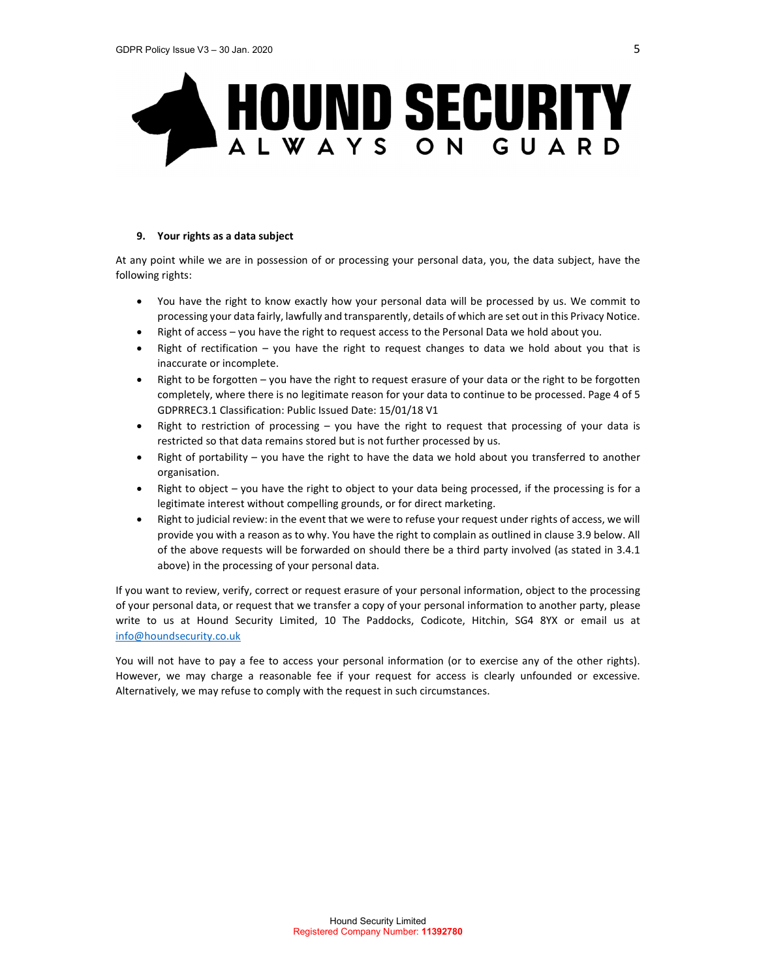

# 9. Your rights as a data subject

At any point while we are in possession of or processing your personal data, you, the data subject, have the following rights:

- You have the right to know exactly how your personal data will be processed by us. We commit to processing your data fairly, lawfully and transparently, details of which are set out in this Privacy Notice.
- Right of access you have the right to request access to the Personal Data we hold about you.
- Right of rectification you have the right to request changes to data we hold about you that is inaccurate or incomplete.
- Right to be forgotten you have the right to request erasure of your data or the right to be forgotten completely, where there is no legitimate reason for your data to continue to be processed. Page 4 of 5 GDPRREC3.1 Classification: Public Issued Date: 15/01/18 V1
- Right to restriction of processing you have the right to request that processing of your data is restricted so that data remains stored but is not further processed by us.
- Right of portability you have the right to have the data we hold about you transferred to another organisation.
- Right to object you have the right to object to your data being processed, if the processing is for a legitimate interest without compelling grounds, or for direct marketing.
- Right to judicial review: in the event that we were to refuse your request under rights of access, we will provide you with a reason as to why. You have the right to complain as outlined in clause 3.9 below. All of the above requests will be forwarded on should there be a third party involved (as stated in 3.4.1 above) in the processing of your personal data.

If you want to review, verify, correct or request erasure of your personal information, object to the processing of your personal data, or request that we transfer a copy of your personal information to another party, please write to us at Hound Security Limited, 10 The Paddocks, Codicote, Hitchin, SG4 8YX or email us at info@houndsecurity.co.uk<br>You will not have to pay a fee to access your personal information (or to exercise any of the other rights).

However, we may charge a reasonable fee if your request for access is clearly unfounded or excessive. Alternatively, we may refuse to comply with the request in such circumstances.